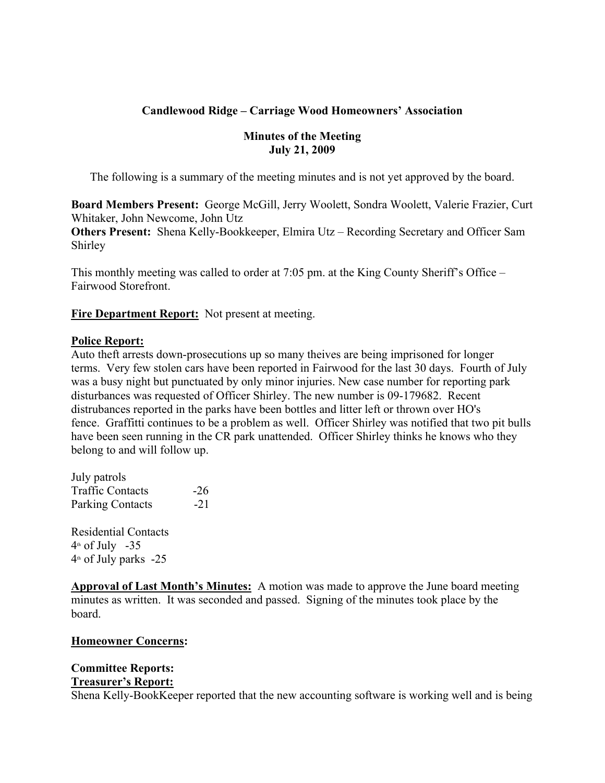## **Candlewood Ridge – Carriage Wood Homeowners' Association**

## **Minutes of the Meeting July 21, 2009**

The following is a summary of the meeting minutes and is not yet approved by the board.

**Board Members Present:** George McGill, Jerry Woolett, Sondra Woolett, Valerie Frazier, Curt Whitaker, John Newcome, John Utz

**Others Present:** Shena Kelly-Bookkeeper, Elmira Utz – Recording Secretary and Officer Sam Shirley

This monthly meeting was called to order at 7:05 pm. at the King County Sheriff's Office – Fairwood Storefront.

**Fire Department Report:** Not present at meeting.

#### **Police Report:**

Auto theft arrests down-prosecutions up so many theives are being imprisoned for longer terms. Very few stolen cars have been reported in Fairwood for the last 30 days. Fourth of July was a busy night but punctuated by only minor injuries. New case number for reporting park disturbances was requested of Officer Shirley. The new number is 09-179682. Recent distrubances reported in the parks have been bottles and litter left or thrown over HO's fence. Graffitti continues to be a problem as well. Officer Shirley was notified that two pit bulls have been seen running in the CR park unattended. Officer Shirley thinks he knows who they belong to and will follow up.

July patrols Traffic Contacts -26 Parking Contacts -21

Residential Contacts  $4<sup>th</sup>$  of July -35  $4<sup>th</sup>$  of July parks -25

**Approval of Last Month's Minutes:** A motion was made to approve the June board meeting minutes as written. It was seconded and passed. Signing of the minutes took place by the board.

#### **Homeowner Concerns:**

# **Committee Reports:**

## **Treasurer's Report:**

Shena Kelly-BookKeeper reported that the new accounting software is working well and is being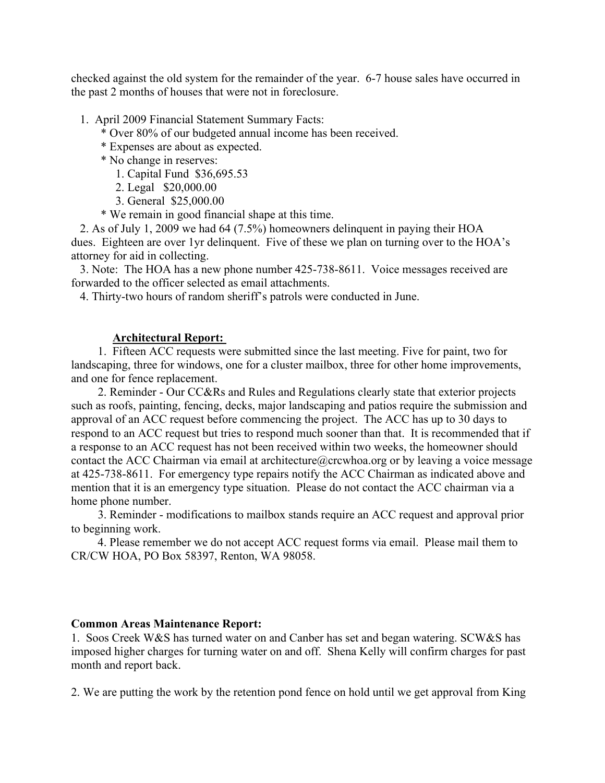checked against the old system for the remainder of the year. 6-7 house sales have occurred in the past 2 months of houses that were not in foreclosure.

- 1. April 2009 Financial Statement Summary Facts:
	- \* Over 80% of our budgeted annual income has been received.
	- \* Expenses are about as expected.
	- \* No change in reserves:
		- 1. Capital Fund \$36,695.53
		- 2. Legal \$20,000.00
		- 3. General \$25,000.00
	- \* We remain in good financial shape at this time.

 2. As of July 1, 2009 we had 64 (7.5%) homeowners delinquent in paying their HOA dues. Eighteen are over 1yr delinquent. Five of these we plan on turning over to the HOA's attorney for aid in collecting.

 3. Note: The HOA has a new phone number 425-738-8611. Voice messages received are forwarded to the officer selected as email attachments.

4. Thirty-two hours of random sheriff's patrols were conducted in June.

#### **Architectural Report:**

 1. Fifteen ACC requests were submitted since the last meeting. Five for paint, two for landscaping, three for windows, one for a cluster mailbox, three for other home improvements, and one for fence replacement.

 2. Reminder - Our CC&Rs and Rules and Regulations clearly state that exterior projects such as roofs, painting, fencing, decks, major landscaping and patios require the submission and approval of an ACC request before commencing the project. The ACC has up to 30 days to respond to an ACC request but tries to respond much sooner than that. It is recommended that if a response to an ACC request has not been received within two weeks, the homeowner should contact the ACC Chairman via email at architecture@crcwhoa.org or by leaving a voice message at 425-738-8611. For emergency type repairs notify the ACC Chairman as indicated above and mention that it is an emergency type situation. Please do not contact the ACC chairman via a home phone number.

 3. Reminder - modifications to mailbox stands require an ACC request and approval prior to beginning work.

 4. Please remember we do not accept ACC request forms via email. Please mail them to CR/CW HOA, PO Box 58397, Renton, WA 98058.

#### **Common Areas Maintenance Report:**

1. Soos Creek W&S has turned water on and Canber has set and began watering. SCW&S has imposed higher charges for turning water on and off. Shena Kelly will confirm charges for past month and report back.

2. We are putting the work by the retention pond fence on hold until we get approval from King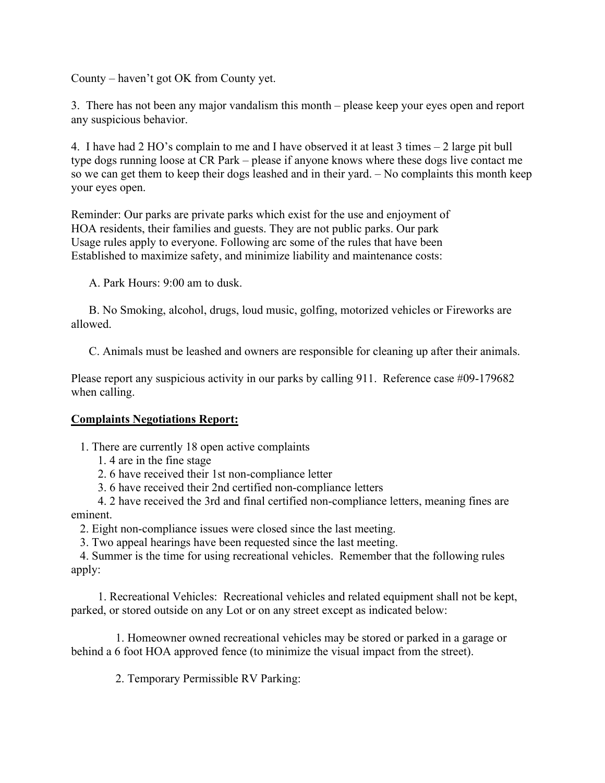County – haven't got OK from County yet.

3. There has not been any major vandalism this month – please keep your eyes open and report any suspicious behavior.

4. I have had 2 HO's complain to me and I have observed it at least 3 times – 2 large pit bull type dogs running loose at CR Park – please if anyone knows where these dogs live contact me so we can get them to keep their dogs leashed and in their yard. – No complaints this month keep your eyes open.

Reminder: Our parks are private parks which exist for the use and enjoyment of HOA residents, their families and guests. They are not public parks. Our park Usage rules apply to everyone. Following arc some of the rules that have been Established to maximize safety, and minimize liability and maintenance costs:

A. Park Hours: 9:00 am to dusk.

 B. No Smoking, alcohol, drugs, loud music, golfing, motorized vehicles or Fireworks are allowed.

C. Animals must be leashed and owners are responsible for cleaning up after their animals.

Please report any suspicious activity in our parks by calling 911. Reference case #09-179682 when calling.

#### **Complaints Negotiations Report:**

1. There are currently 18 open active complaints

- 1. 4 are in the fine stage
- 2. 6 have received their 1st non-compliance letter
- 3. 6 have received their 2nd certified non-compliance letters

 4. 2 have received the 3rd and final certified non-compliance letters, meaning fines are eminent.

2. Eight non-compliance issues were closed since the last meeting.

3. Two appeal hearings have been requested since the last meeting.

 4. Summer is the time for using recreational vehicles. Remember that the following rules apply:

 1. Recreational Vehicles: Recreational vehicles and related equipment shall not be kept, parked, or stored outside on any Lot or on any street except as indicated below:

 1. Homeowner owned recreational vehicles may be stored or parked in a garage or behind a 6 foot HOA approved fence (to minimize the visual impact from the street).

2. Temporary Permissible RV Parking: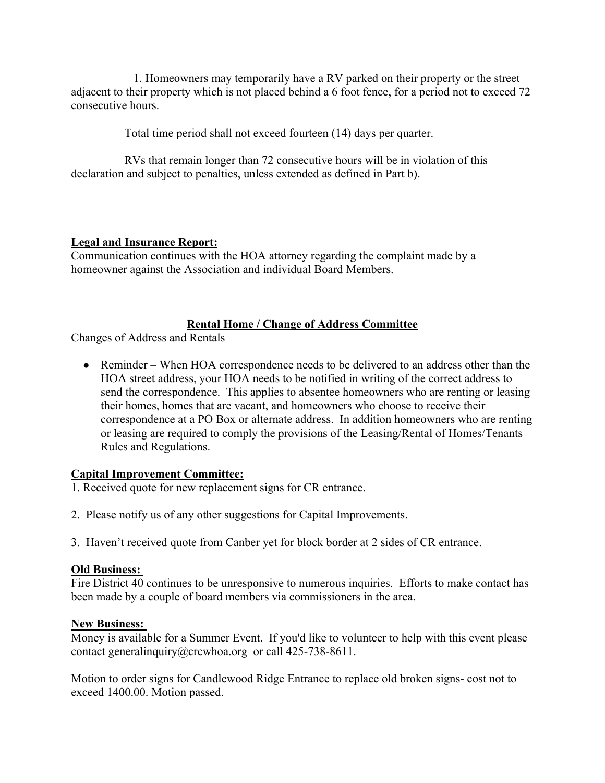1. Homeowners may temporarily have a RV parked on their property or the street adjacent to their property which is not placed behind a 6 foot fence, for a period not to exceed 72 consecutive hours.

Total time period shall not exceed fourteen (14) days per quarter.

 RVs that remain longer than 72 consecutive hours will be in violation of this declaration and subject to penalties, unless extended as defined in Part b).

## **Legal and Insurance Report:**

Communication continues with the HOA attorney regarding the complaint made by a homeowner against the Association and individual Board Members.

## **Rental Home / Change of Address Committee**

Changes of Address and Rentals

• Reminder – When HOA correspondence needs to be delivered to an address other than the HOA street address, your HOA needs to be notified in writing of the correct address to send the correspondence. This applies to absentee homeowners who are renting or leasing their homes, homes that are vacant, and homeowners who choose to receive their correspondence at a PO Box or alternate address. In addition homeowners who are renting or leasing are required to comply the provisions of the Leasing/Rental of Homes/Tenants Rules and Regulations.

## **Capital Improvement Committee:**

- 1. Received quote for new replacement signs for CR entrance.
- 2. Please notify us of any other suggestions for Capital Improvements.
- 3. Haven't received quote from Canber yet for block border at 2 sides of CR entrance.

## **Old Business:**

Fire District 40 continues to be unresponsive to numerous inquiries. Efforts to make contact has been made by a couple of board members via commissioners in the area.

## **New Business:**

Money is available for a Summer Event. If you'd like to volunteer to help with this event please contact generalinquiry@crcwhoa.org or call 425-738-8611.

Motion to order signs for Candlewood Ridge Entrance to replace old broken signs- cost not to exceed 1400.00. Motion passed.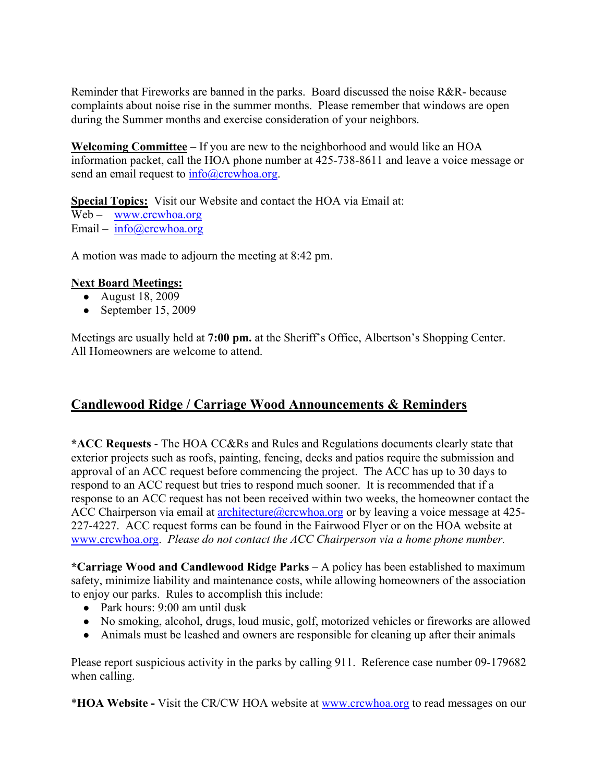Reminder that Fireworks are banned in the parks. Board discussed the noise R&R- because complaints about noise rise in the summer months. Please remember that windows are open during the Summer months and exercise consideration of your neighbors.

**Welcoming Committee** – If you are new to the neighborhood and would like an HOA information packet, call the HOA phone number at 425-738-8611 and leave a voice message or send an email request to  $info@crcwhoa.org$ .

**Special Topics:** Visit our Website and contact the HOA via Email at: Web – www.crcwhoa.org Email – info@crcwhoa.org

A motion was made to adjourn the meeting at 8:42 pm.

## **Next Board Meetings:**

- August 18, 2009
- September 15, 2009

Meetings are usually held at **7:00 pm.** at the Sheriff's Office, Albertson's Shopping Center. All Homeowners are welcome to attend.

# **Candlewood Ridge / Carriage Wood Announcements & Reminders**

**\*ACC Requests** - The HOA CC&Rs and Rules and Regulations documents clearly state that exterior projects such as roofs, painting, fencing, decks and patios require the submission and approval of an ACC request before commencing the project. The ACC has up to 30 days to respond to an ACC request but tries to respond much sooner. It is recommended that if a response to an ACC request has not been received within two weeks, the homeowner contact the ACC Chairperson via email at **architecture** (a) crewhoa.org or by leaving a voice message at 425-227-4227. ACC request forms can be found in the Fairwood Flyer or on the HOA website at www.crcwhoa.org. *Please do not contact the ACC Chairperson via a home phone number.*

**\*Carriage Wood and Candlewood Ridge Parks** – A policy has been established to maximum safety, minimize liability and maintenance costs, while allowing homeowners of the association to enjoy our parks. Rules to accomplish this include:

- Park hours: 9:00 am until dusk
- No smoking, alcohol, drugs, loud music, golf, motorized vehicles or fireworks are allowed
- Animals must be leashed and owners are responsible for cleaning up after their animals

Please report suspicious activity in the parks by calling 911. Reference case number 09-179682 when calling.

\***HOA Website -** Visit the CR/CW HOA website at www.crcwhoa.org to read messages on our